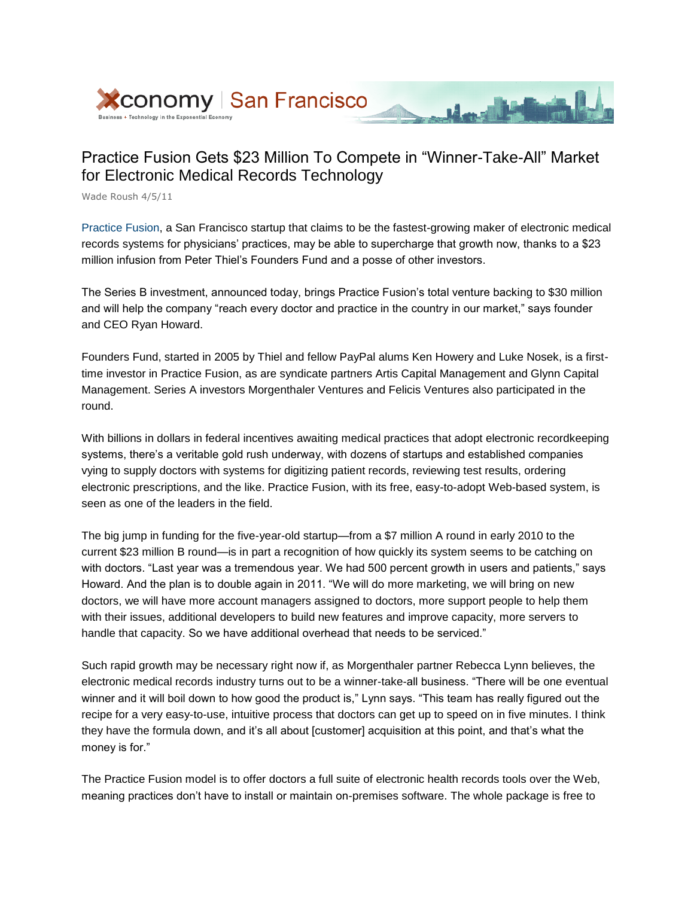

## Practice Fusion Gets \$23 Million To Compete in "Winner-Take-All" Market for Electronic Medical Records Technology

March 19 March

Wade Roush 4/5/11

Practice Fusion, a San Francisco startup that claims to be the fastest-growing maker of electronic medical records systems for physicians' practices, may be able to supercharge that growth now, thanks to a \$23 million infusion from Peter Thiel's Founders Fund and a posse of other investors.

The Series B investment, announced today, brings Practice Fusion's total venture backing to \$30 million and will help the company "reach every doctor and practice in the country in our market," says founder and CEO Ryan Howard.

Founders Fund, started in 2005 by Thiel and fellow PayPal alums Ken Howery and Luke Nosek, is a firsttime investor in Practice Fusion, as are syndicate partners Artis Capital Management and Glynn Capital Management. Series A investors Morgenthaler Ventures and Felicis Ventures also participated in the round.

With billions in dollars in federal incentives awaiting medical practices that adopt electronic recordkeeping systems, there's a veritable gold rush underway, with dozens of startups and established companies vying to supply doctors with systems for digitizing patient records, reviewing test results, ordering electronic prescriptions, and the like. Practice Fusion, with its free, easy-to-adopt Web-based system, is seen as one of the leaders in the field.

The big jump in funding for the five-year-old startup—from a \$7 million A round in early 2010 to the current \$23 million B round—is in part a recognition of how quickly its system seems to be catching on with doctors. "Last year was a tremendous year. We had 500 percent growth in users and patients," says Howard. And the plan is to double again in 2011. "We will do more marketing, we will bring on new doctors, we will have more account managers assigned to doctors, more support people to help them with their issues, additional developers to build new features and improve capacity, more servers to handle that capacity. So we have additional overhead that needs to be serviced."

Such rapid growth may be necessary right now if, as Morgenthaler partner Rebecca Lynn believes, the electronic medical records industry turns out to be a winner-take-all business. "There will be one eventual winner and it will boil down to how good the product is," Lynn says. "This team has really figured out the recipe for a very easy-to-use, intuitive process that doctors can get up to speed on in five minutes. I think they have the formula down, and it's all about [customer] acquisition at this point, and that's what the money is for."

The Practice Fusion model is to offer doctors a full suite of electronic health records tools over the Web, meaning practices don't have to install or maintain on-premises software. The whole package is free to